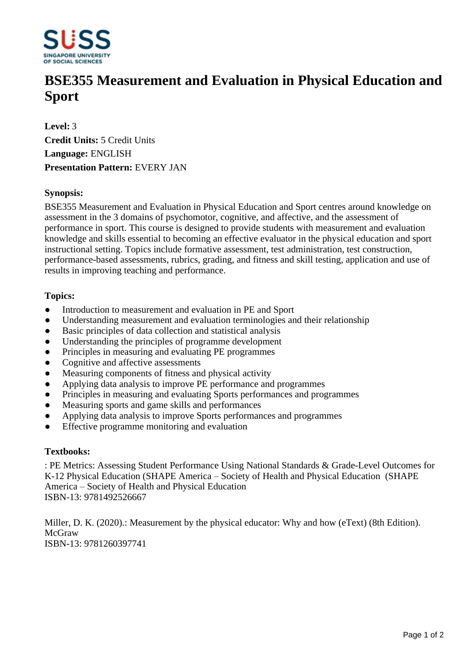

# **BSE355 Measurement and Evaluation in Physical Education and Sport**

**Level:** 3 **Credit Units:** 5 Credit Units **Language:** ENGLISH **Presentation Pattern:** EVERY JAN

### **Synopsis:**

BSE355 Measurement and Evaluation in Physical Education and Sport centres around knowledge on assessment in the 3 domains of psychomotor, cognitive, and affective, and the assessment of performance in sport. This course is designed to provide students with measurement and evaluation knowledge and skills essential to becoming an effective evaluator in the physical education and sport instructional setting. Topics include formative assessment, test administration, test construction, performance-based assessments, rubrics, grading, and fitness and skill testing, application and use of results in improving teaching and performance.

#### **Topics:**

- Introduction to measurement and evaluation in PE and Sport
- Understanding measurement and evaluation terminologies and their relationship
- Basic principles of data collection and statistical analysis
- Understanding the principles of programme development
- Principles in measuring and evaluating PE programmes
- Cognitive and affective assessments
- Measuring components of fitness and physical activity
- Applying data analysis to improve PE performance and programmes
- Principles in measuring and evaluating Sports performances and programmes
- Measuring sports and game skills and performances
- Applying data analysis to improve Sports performances and programmes
- ƔEffective programme monitoring and evaluation

#### **Textbooks:**

: PE Metrics: Assessing Student Performance Using National Standards & Grade-Level Outcomes for K-12 Physical Education (SHAPE America – Society of Health and Physical Education (SHAPE America – Society of Health and Physical Education ISBN-13: 9781492526667

Miller, D. K. (2020).: Measurement by the physical educator: Why and how (eText) (8th Edition). McGraw ISBN-13: 9781260397741